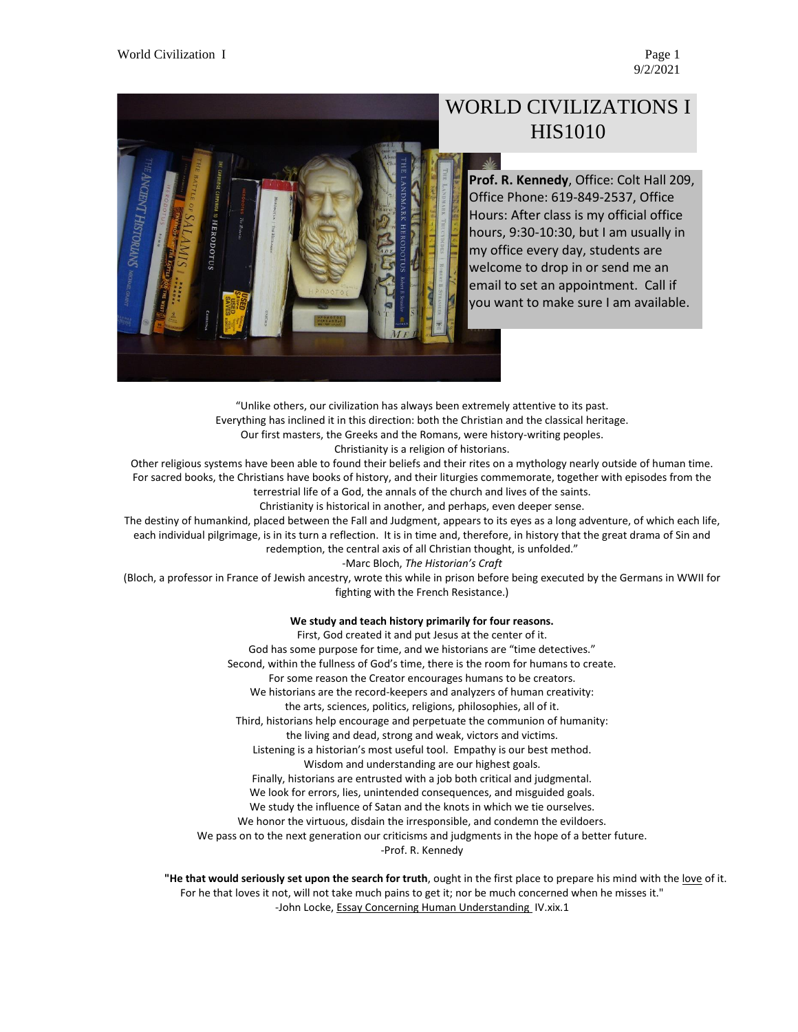9/2/2021



# WORLD CIVILIZATIONS I HIS1010

**Prof. R. Kennedy**, Office: Colt Hall 209, Office Phone: 619-849-2537, Office Hours: After class is my official office hours, 9:30-10:30, but I am usually in my office every day, students are welcome to drop in or send me an email to set an appointment. Call if you want to make sure I am available.

"Unlike others, our civilization has always been extremely attentive to its past. Everything has inclined it in this direction: both the Christian and the classical heritage. Our first masters, the Greeks and the Romans, were history-writing peoples. Christianity is a religion of historians. Other religious systems have been able to found their beliefs and their rites on a mythology nearly outside of human time.

For sacred books, the Christians have books of history, and their liturgies commemorate, together with episodes from the terrestrial life of a God, the annals of the church and lives of the saints.

Christianity is historical in another, and perhaps, even deeper sense.

The destiny of humankind, placed between the Fall and Judgment, appears to its eyes as a long adventure, of which each life, each individual pilgrimage, is in its turn a reflection. It is in time and, therefore, in history that the great drama of Sin and redemption, the central axis of all Christian thought, is unfolded."

-Marc Bloch, *The Historian's Craft*

(Bloch, a professor in France of Jewish ancestry, wrote this while in prison before being executed by the Germans in WWII for fighting with the French Resistance.)

#### **We study and teach history primarily for four reasons.**

First, God created it and put Jesus at the center of it. God has some purpose for time, and we historians are "time detectives." Second, within the fullness of God's time, there is the room for humans to create. For some reason the Creator encourages humans to be creators. We historians are the record-keepers and analyzers of human creativity: the arts, sciences, politics, religions, philosophies, all of it. Third, historians help encourage and perpetuate the communion of humanity: the living and dead, strong and weak, victors and victims. Listening is a historian's most useful tool. Empathy is our best method. Wisdom and understanding are our highest goals. Finally, historians are entrusted with a job both critical and judgmental. We look for errors, lies, unintended consequences, and misguided goals. We study the influence of Satan and the knots in which we tie ourselves. We honor the virtuous, disdain the irresponsible, and condemn the evildoers. We pass on to the next generation our criticisms and judgments in the hope of a better future. -Prof. R. Kennedy

**"He that would seriously set upon the search for truth**, ought in the first place to prepare his mind with the love of it. For he that loves it not, will not take much pains to get it; nor be much concerned when he misses it." -John Locke, Essay Concerning Human Understanding IV.xix.1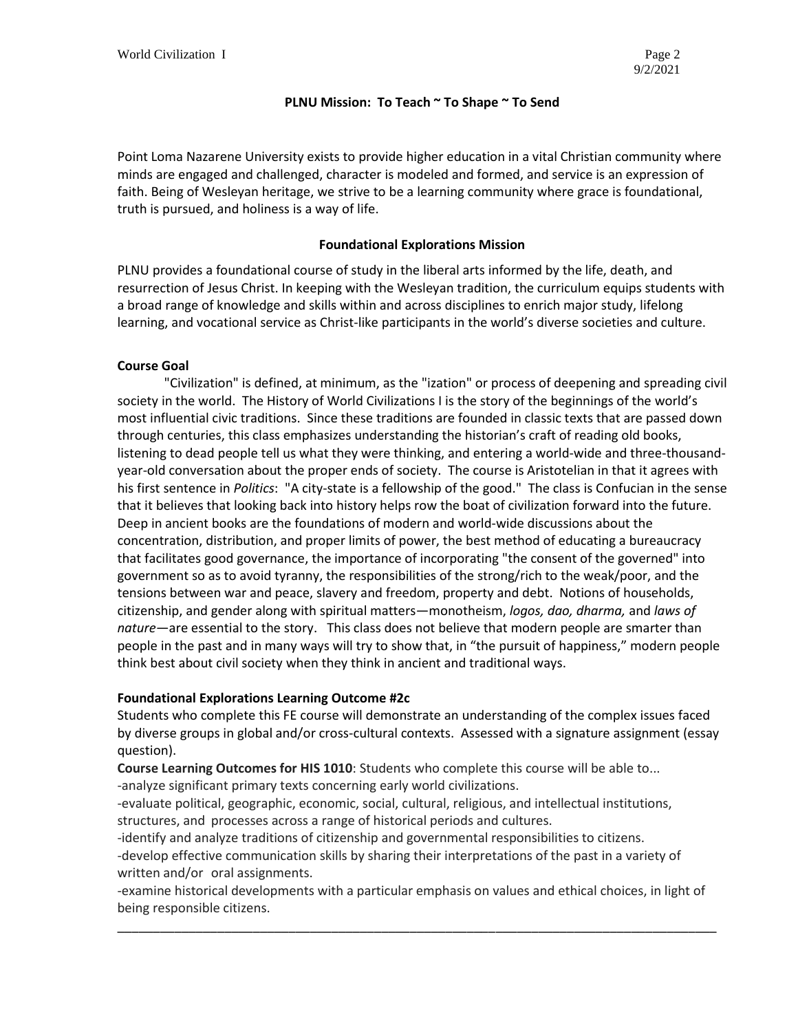# **PLNU Mission: To Teach ~ To Shape ~ To Send**

Point Loma Nazarene University exists to provide higher education in a vital Christian community where minds are engaged and challenged, character is modeled and formed, and service is an expression of faith. Being of Wesleyan heritage, we strive to be a learning community where grace is foundational, truth is pursued, and holiness is a way of life.

# **Foundational Explorations Mission**

PLNU provides a foundational course of study in the liberal arts informed by the life, death, and resurrection of Jesus Christ. In keeping with the Wesleyan tradition, the curriculum equips students with a broad range of knowledge and skills within and across disciplines to enrich major study, lifelong learning, and vocational service as Christ-like participants in the world's diverse societies and culture.

# **Course Goal**

"Civilization" is defined, at minimum, as the "ization" or process of deepening and spreading civil society in the world. The History of World Civilizations I is the story of the beginnings of the world's most influential civic traditions. Since these traditions are founded in classic texts that are passed down through centuries, this class emphasizes understanding the historian's craft of reading old books, listening to dead people tell us what they were thinking, and entering a world-wide and three-thousandyear-old conversation about the proper ends of society. The course is Aristotelian in that it agrees with his first sentence in *Politics*: "A city-state is a fellowship of the good." The class is Confucian in the sense that it believes that looking back into history helps row the boat of civilization forward into the future. Deep in ancient books are the foundations of modern and world-wide discussions about the concentration, distribution, and proper limits of power, the best method of educating a bureaucracy that facilitates good governance, the importance of incorporating "the consent of the governed" into government so as to avoid tyranny, the responsibilities of the strong/rich to the weak/poor, and the tensions between war and peace, slavery and freedom, property and debt. Notions of households, citizenship, and gender along with spiritual matters—monotheism, *logos, dao, dharma,* and *laws of nature*—are essential to the story. This class does not believe that modern people are smarter than people in the past and in many ways will try to show that, in "the pursuit of happiness," modern people think best about civil society when they think in ancient and traditional ways.

# **Foundational Explorations Learning Outcome #2c**

Students who complete this FE course will demonstrate an understanding of the complex issues faced by diverse groups in global and/or cross-cultural contexts. Assessed with a signature assignment (essay question).

**Course Learning Outcomes for HIS 1010**: Students who complete this course will be able to...

-analyze significant primary texts concerning early world civilizations.

-evaluate political, geographic, economic, social, cultural, religious, and intellectual institutions, structures, and processes across a range of historical periods and cultures.

-identify and analyze traditions of citizenship and governmental responsibilities to citizens. -develop effective communication skills by sharing their interpretations of the past in a variety of written and/or oral assignments.

-examine historical developments with a particular emphasis on values and ethical choices, in light of being responsible citizens.

\_\_\_\_\_\_\_\_\_\_\_\_\_\_\_\_\_\_\_\_\_\_\_\_\_\_\_\_\_\_\_\_\_\_\_\_\_\_\_\_\_\_\_\_\_\_\_\_\_\_\_\_\_\_\_\_\_\_\_\_\_\_\_\_\_\_\_\_\_\_\_\_\_\_\_\_\_\_\_\_\_\_\_\_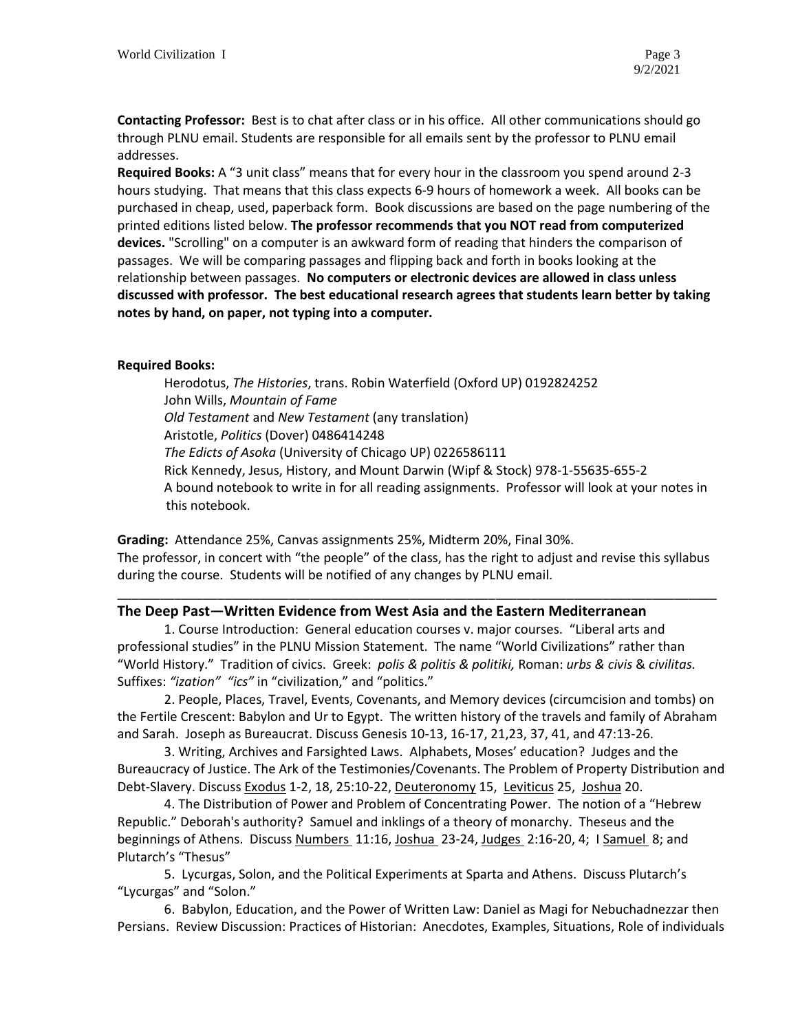**Contacting Professor:** Best is to chat after class or in his office. All other communications should go through PLNU email. Students are responsible for all emails sent by the professor to PLNU email addresses.

**Required Books:** A "3 unit class" means that for every hour in the classroom you spend around 2-3 hours studying. That means that this class expects 6-9 hours of homework a week. All books can be purchased in cheap, used, paperback form. Book discussions are based on the page numbering of the printed editions listed below. **The professor recommends that you NOT read from computerized devices.** "Scrolling" on a computer is an awkward form of reading that hinders the comparison of passages. We will be comparing passages and flipping back and forth in books looking at the relationship between passages. **No computers or electronic devices are allowed in class unless discussed with professor. The best educational research agrees that students learn better by taking notes by hand, on paper, not typing into a computer.** 

# **Required Books:**

Herodotus, *The Histories*, trans. Robin Waterfield (Oxford UP) 0192824252 John Wills, *Mountain of Fame Old Testament* and *New Testament* (any translation) Aristotle, *Politics* (Dover) 0486414248 *The Edicts of Asoka* (University of Chicago UP) 0226586111 Rick Kennedy, Jesus, History, and Mount Darwin (Wipf & Stock) 978-1-55635-655-2 A bound notebook to write in for all reading assignments. Professor will look at your notes in this notebook.

**Grading:** Attendance 25%, Canvas assignments 25%, Midterm 20%, Final 30%. The professor, in concert with "the people" of the class, has the right to adjust and revise this syllabus during the course. Students will be notified of any changes by PLNU email.

\_\_\_\_\_\_\_\_\_\_\_\_\_\_\_\_\_\_\_\_\_\_\_\_\_\_\_\_\_\_\_\_\_\_\_\_\_\_\_\_\_\_\_\_\_\_\_\_\_\_\_\_\_\_\_\_\_\_\_\_\_\_\_\_\_\_\_\_\_\_\_\_\_\_\_\_\_\_\_\_\_\_\_\_

# **The Deep Past—Written Evidence from West Asia and the Eastern Mediterranean**

1. Course Introduction: General education courses v. major courses. "Liberal arts and professional studies" in the PLNU Mission Statement. The name "World Civilizations" rather than "World History." Tradition of civics. Greek: *polis & politis & politiki,* Roman: *urbs & civis* & *civilitas.*  Suffixes: *"ization" "ics"* in "civilization," and "politics."

2. People, Places, Travel, Events, Covenants, and Memory devices (circumcision and tombs) on the Fertile Crescent: Babylon and Ur to Egypt. The written history of the travels and family of Abraham and Sarah. Joseph as Bureaucrat. Discuss Genesis 10-13, 16-17, 21,23, 37, 41, and 47:13-26.

3. Writing, Archives and Farsighted Laws. Alphabets, Moses' education? Judges and the Bureaucracy of Justice. The Ark of the Testimonies/Covenants. The Problem of Property Distribution and Debt-Slavery. Discuss Exodus 1-2, 18, 25:10-22, Deuteronomy 15, Leviticus 25, Joshua 20.

4. The Distribution of Power and Problem of Concentrating Power. The notion of a "Hebrew Republic." Deborah's authority? Samuel and inklings of a theory of monarchy. Theseus and the beginnings of Athens. Discuss Numbers 11:16, Joshua 23-24, Judges 2:16-20, 4; I Samuel 8; and Plutarch's "Thesus"

5. Lycurgas, Solon, and the Political Experiments at Sparta and Athens. Discuss Plutarch's "Lycurgas" and "Solon."

6. Babylon, Education, and the Power of Written Law: Daniel as Magi for Nebuchadnezzar then Persians. Review Discussion: Practices of Historian: Anecdotes, Examples, Situations, Role of individuals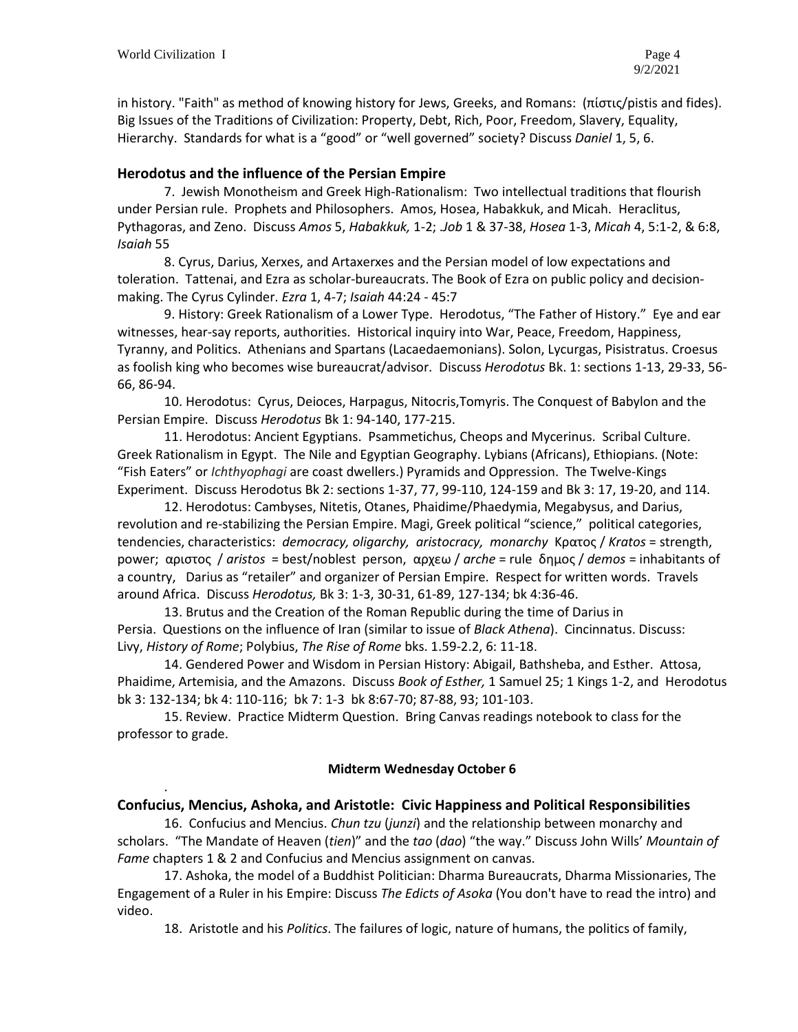.

in history. "Faith" as method of knowing history for Jews, Greeks, and Romans: (πίστις/pistis and fides). Big Issues of the Traditions of Civilization: Property, Debt, Rich, Poor, Freedom, Slavery, Equality, Hierarchy. Standards for what is a "good" or "well governed" society? Discuss *Daniel* 1, 5, 6.

# **Herodotus and the influence of the Persian Empire**

7. Jewish Monotheism and Greek High-Rationalism: Two intellectual traditions that flourish under Persian rule. Prophets and Philosophers. Amos, Hosea, Habakkuk, and Micah. Heraclitus, Pythagoras, and Zeno. Discuss *Amos* 5, *Habakkuk,* 1-2; .*Job* 1 & 37-38, *Hosea* 1-3, *Micah* 4, 5:1-2, & 6:8, *Isaiah* 55

8. Cyrus, Darius, Xerxes, and Artaxerxes and the Persian model of low expectations and toleration. Tattenai, and Ezra as scholar-bureaucrats. The Book of Ezra on public policy and decisionmaking. The Cyrus Cylinder. *Ezra* 1, 4-7; *Isaiah* 44:24 - 45:7

9. History: Greek Rationalism of a Lower Type. Herodotus, "The Father of History." Eye and ear witnesses, hear-say reports, authorities. Historical inquiry into War, Peace, Freedom, Happiness, Tyranny, and Politics. Athenians and Spartans (Lacaedaemonians). Solon, Lycurgas, Pisistratus. Croesus as foolish king who becomes wise bureaucrat/advisor. Discuss *Herodotus* Bk. 1: sections 1-13, 29-33, 56- 66, 86-94.

10. Herodotus: Cyrus, Deioces, Harpagus, Nitocris,Tomyris. The Conquest of Babylon and the Persian Empire. Discuss *Herodotus* Bk 1: 94-140, 177-215.

11. Herodotus: Ancient Egyptians. Psammetichus, Cheops and Mycerinus. Scribal Culture. Greek Rationalism in Egypt. The Nile and Egyptian Geography. Lybians (Africans), Ethiopians. (Note: "Fish Eaters" or *Ichthyophagi* are coast dwellers.) Pyramids and Oppression. The Twelve-Kings Experiment. Discuss Herodotus Bk 2: sections 1-37, 77, 99-110, 124-159 and Bk 3: 17, 19-20, and 114.

12. Herodotus: Cambyses, Nitetis, Otanes, Phaidime/Phaedymia, Megabysus, and Darius, revolution and re-stabilizing the Persian Empire. Magi, Greek political "science," political categories, tendencies, characteristics: *democracy, oligarchy, aristocracy, monarchy* Κρατος / *Kratos* = strength, power; αριστος / *aristos* = best/noblest person, αρχεω / *arche* = ruleδημος / *demos* = inhabitants of a country, Darius as "retailer" and organizer of Persian Empire. Respect for written words. Travels around Africa. Discuss *Herodotus,* Bk 3: 1-3, 30-31, 61-89, 127-134; bk 4:36-46.

13. Brutus and the Creation of the Roman Republic during the time of Darius in Persia. Questions on the influence of Iran (similar to issue of *Black Athena*). Cincinnatus. Discuss: Livy, *History of Rome*; Polybius, *The Rise of Rome* bks. 1.59-2.2, 6: 11-18.

14. Gendered Power and Wisdom in Persian History: Abigail, Bathsheba, and Esther. Attosa, Phaidime, Artemisia, and the Amazons. Discuss *Book of Esther,* 1 Samuel 25; 1 Kings 1-2, and Herodotus bk 3: 132-134; bk 4: 110-116; bk 7: 1-3 bk 8:67-70; 87-88, 93; 101-103.

15. Review. Practice Midterm Question. Bring Canvas readings notebook to class for the professor to grade.

# **Midterm Wednesday October 6**

# **Confucius, Mencius, Ashoka, and Aristotle: Civic Happiness and Political Responsibilities**

16. Confucius and Mencius. *Chun tzu* (*junzi*) and the relationship between monarchy and scholars. "The Mandate of Heaven (*tien*)" and the *tao* (*dao*) "the way." Discuss John Wills' *Mountain of Fame* chapters 1 & 2 and Confucius and Mencius assignment on canvas.

17. Ashoka, the model of a Buddhist Politician: Dharma Bureaucrats, Dharma Missionaries, The Engagement of a Ruler in his Empire: Discuss *The Edicts of Asoka* (You don't have to read the intro) and video.

18. Aristotle and his *Politics*. The failures of logic, nature of humans, the politics of family,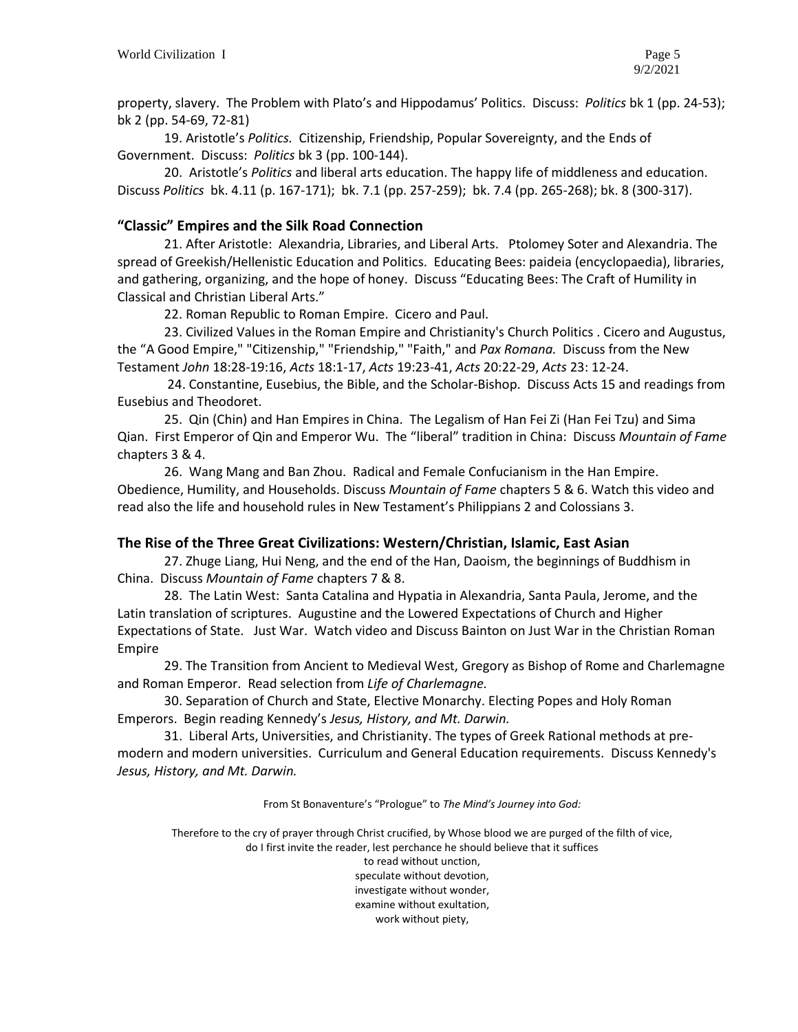property, slavery. The Problem with Plato's and Hippodamus' Politics. Discuss: *Politics* bk 1 (pp. 24-53); bk 2 (pp. 54-69, 72-81)

19. Aristotle's *Politics.* Citizenship, Friendship, Popular Sovereignty, and the Ends of Government. Discuss: *Politics* bk 3 (pp. 100-144).

20. Aristotle's *Politics* and liberal arts education. The happy life of middleness and education. Discuss *Politics* bk. 4.11 (p. 167-171); bk. 7.1 (pp. 257-259); bk. 7.4 (pp. 265-268); bk. 8 (300-317).

# **"Classic" Empires and the Silk Road Connection**

21. After Aristotle: Alexandria, Libraries, and Liberal Arts. Ptolomey Soter and Alexandria. The spread of Greekish/Hellenistic Education and Politics. Educating Bees: paideia (encyclopaedia), libraries, and gathering, organizing, and the hope of honey. Discuss "Educating Bees: The Craft of Humility in Classical and Christian Liberal Arts."

22. Roman Republic to Roman Empire. Cicero and Paul.

23. Civilized Values in the Roman Empire and Christianity's Church Politics . Cicero and Augustus, the "A Good Empire," "Citizenship," "Friendship," "Faith," and *Pax Romana.* Discuss from the New Testament *John* 18:28-19:16, *Acts* 18:1-17, *Acts* 19:23-41, *Acts* 20:22-29, *Acts* 23: 12-24.

24. Constantine, Eusebius, the Bible, and the Scholar-Bishop. Discuss Acts 15 and readings from Eusebius and Theodoret.

25. Qin (Chin) and Han Empires in China. The Legalism of Han Fei Zi (Han Fei Tzu) and Sima Qian. First Emperor of Qin and Emperor Wu. The "liberal" tradition in China: Discuss *Mountain of Fame* chapters 3 & 4.

26. Wang Mang and Ban Zhou. Radical and Female Confucianism in the Han Empire. Obedience, Humility, and Households. Discuss *Mountain of Fame* chapters 5 & 6. Watch this video and read also the life and household rules in New Testament's Philippians 2 and Colossians 3.

# **The Rise of the Three Great Civilizations: Western/Christian, Islamic, East Asian**

27. Zhuge Liang, Hui Neng, and the end of the Han, Daoism, the beginnings of Buddhism in China. Discuss *Mountain of Fame* chapters 7 & 8.

28. The Latin West: Santa Catalina and Hypatia in Alexandria, Santa Paula, Jerome, and the Latin translation of scriptures. Augustine and the Lowered Expectations of Church and Higher Expectations of State. Just War. Watch video and Discuss Bainton on Just War in the Christian Roman Empire

29. The Transition from Ancient to Medieval West, Gregory as Bishop of Rome and Charlemagne and Roman Emperor. Read selection from *Life of Charlemagne.*

30. Separation of Church and State, Elective Monarchy. Electing Popes and Holy Roman Emperors. Begin reading Kennedy's *Jesus, History, and Mt. Darwin.*

31. Liberal Arts, Universities, and Christianity. The types of Greek Rational methods at premodern and modern universities. Curriculum and General Education requirements. Discuss Kennedy's *Jesus, History, and Mt. Darwin.*

From St Bonaventure's "Prologue" to *The Mind's Journey into God:*

Therefore to the cry of prayer through Christ crucified, by Whose blood we are purged of the filth of vice, do I first invite the reader, lest perchance he should believe that it suffices to read without unction, speculate without devotion, investigate without wonder, examine without exultation, work without piety,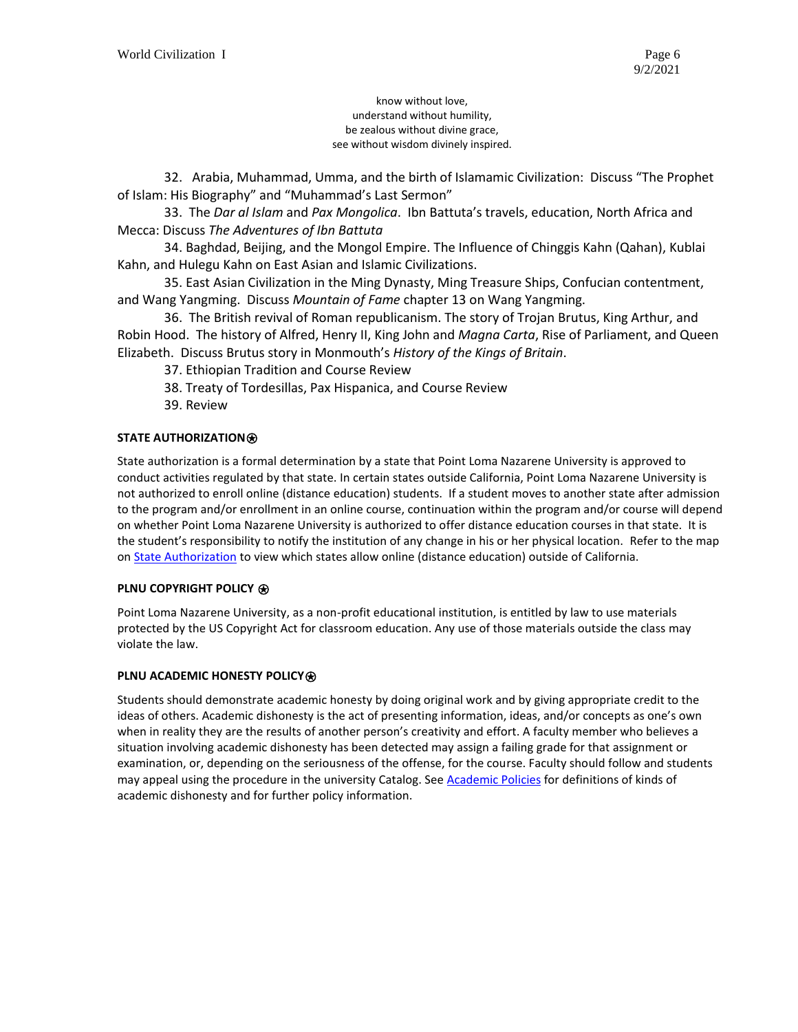know without love, understand without humility, be zealous without divine grace, see without wisdom divinely inspired.

32. Arabia, Muhammad, Umma, and the birth of Islamamic Civilization: Discuss "The Prophet of Islam: His Biography" and "Muhammad's Last Sermon"

33. The *Dar al Islam* and *Pax Mongolica*. Ibn Battuta's travels, education, North Africa and Mecca: Discuss *The Adventures of Ibn Battuta*

34. Baghdad, Beijing, and the Mongol Empire. The Influence of Chinggis Kahn (Qahan), Kublai Kahn, and Hulegu Kahn on East Asian and Islamic Civilizations.

35. East Asian Civilization in the Ming Dynasty, Ming Treasure Ships, Confucian contentment, and Wang Yangming. Discuss *Mountain of Fame* chapter 13 on Wang Yangming.

36. The British revival of Roman republicanism. The story of Trojan Brutus, King Arthur, and Robin Hood. The history of Alfred, Henry II, King John and *Magna Carta*, Rise of Parliament, and Queen Elizabeth. Discuss Brutus story in Monmouth's *History of the Kings of Britain*.

- 37. Ethiopian Tradition and Course Review
- 38. Treaty of Tordesillas, Pax Hispanica, and Course Review
- 39. Review

# **STATE AUTHORIZATION**⍟

State authorization is a formal determination by a state that Point Loma Nazarene University is approved to conduct activities regulated by that state. In certain states outside California, Point Loma Nazarene University is not authorized to enroll online (distance education) students. If a student moves to another state after admission to the program and/or enrollment in an online course, continuation within the program and/or course will depend on whether Point Loma Nazarene University is authorized to offer distance education courses in that state. It is the student's responsibility to notify the institution of any change in his or her physical location. Refer to the map on **State Authorization** to view which states allow online (distance education) outside of California.

### **PLNU COPYRIGHT POLICY** ⍟

Point Loma Nazarene University, as a non-profit educational institution, is entitled by law to use materials protected by the US Copyright Act for classroom education. Any use of those materials outside the class may violate the law.

### **PLNU ACADEMIC HONESTY POLICY<sup>®</sup>**

Students should demonstrate academic honesty by doing original work and by giving appropriate credit to the ideas of others. Academic dishonesty is the act of presenting information, ideas, and/or concepts as one's own when in reality they are the results of another person's creativity and effort. A faculty member who believes a situation involving academic dishonesty has been detected may assign a failing grade for that assignment or examination, or, depending on the seriousness of the offense, for the course. Faculty should follow and students may appeal using the procedure in the university Catalog. See [Academic Policies](https://catalog.pointloma.edu/content.php?catoid=52&navoid=2919#Academic_Honesty) for definitions of kinds of academic dishonesty and for further policy information.